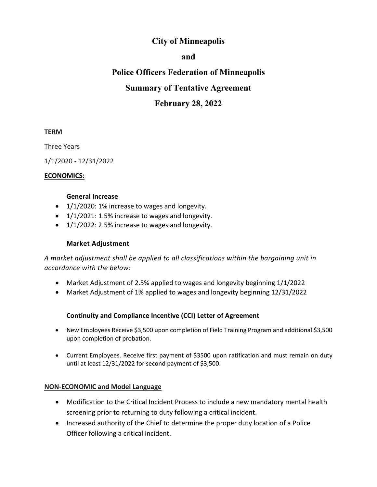# **City of Minneapolis**

### **and**

# **Police Officers Federation of Minneapolis**

## **Summary of Tentative Agreement**

# **February 28, 2022**

#### **TERM**

Three Years

1/1/2020 - 12/31/2022

#### **ECONOMICS:**

#### **General Increase**

- 1/1/2020: 1% increase to wages and longevity.
- 1/1/2021: 1.5% increase to wages and longevity.
- 1/1/2022: 2.5% increase to wages and longevity.

### **Market Adjustment**

*A market adjustment shall be applied to all classifications within the bargaining unit in accordance with the below:*

- Market Adjustment of 2.5% applied to wages and longevity beginning 1/1/2022
- Market Adjustment of 1% applied to wages and longevity beginning 12/31/2022

### **Continuity and Compliance Incentive (CCI) Letter of Agreement**

- New Employees Receive \$3,500 upon completion of Field Training Program and additional \$3,500 upon completion of probation.
- Current Employees. Receive first payment of \$3500 upon ratification and must remain on duty until at least 12/31/2022 for second payment of \$3,500.

### **NON-ECONOMIC and Model Language**

- Modification to the Critical Incident Process to include a new mandatory mental health screening prior to returning to duty following a critical incident.
- Increased authority of the Chief to determine the proper duty location of a Police Officer following a critical incident.